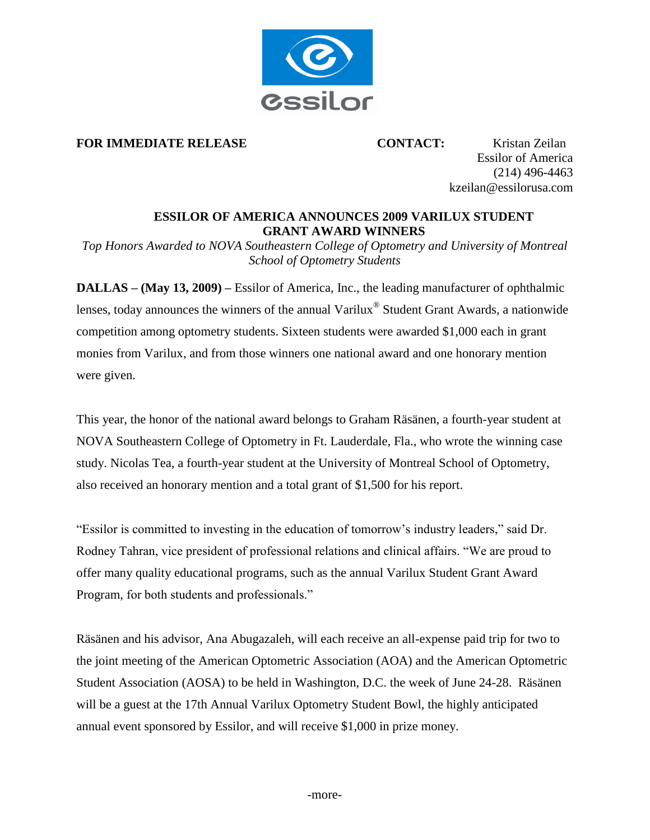

#### **FOR IMMEDIATE RELEASE CONTACT:** Kristan Zeilan

Essilor of America (214) 496-4463 [kzeilan@essilorusa.com](mailto:hallen@essilorusa.com) 

## **ESSILOR OF AMERICA ANNOUNCES 2009 VARILUX STUDENT GRANT AWARD WINNERS**

*Top Honors Awarded to NOVA Southeastern College of Optometry and University of Montreal School of Optometry Students* 

**DALLAS – (May 13, 2009) –** Essilor of America, Inc., the leading manufacturer of ophthalmic lenses, today announces the winners of the annual Varilux® Student Grant Awards, a nationwide competition among optometry students. Sixteen students were awarded \$1,000 each in grant monies from Varilux, and from those winners one national award and one honorary mention were given.

This year, the honor of the national award belongs to Graham Räsänen, a fourth-year student at NOVA Southeastern College of Optometry in Ft. Lauderdale, Fla., who wrote the winning case study. Nicolas Tea, a fourth-year student at the University of Montreal School of Optometry, also received an honorary mention and a total grant of \$1,500 for his report.

"Essilor is committed to investing in the education of tomorrow's industry leaders," said Dr. Rodney Tahran, vice president of professional relations and clinical affairs. "We are proud to offer many quality educational programs, such as the annual Varilux Student Grant Award Program, for both students and professionals."

Räsänen and his advisor, Ana Abugazaleh, will each receive an all-expense paid trip for two to the joint meeting of the American Optometric Association (AOA) and the American Optometric Student Association (AOSA) to be held in Washington, D.C. the week of June 24-28. Räsänen will be a guest at the 17th Annual Varilux Optometry Student Bowl, the highly anticipated annual event sponsored by Essilor, and will receive \$1,000 in prize money.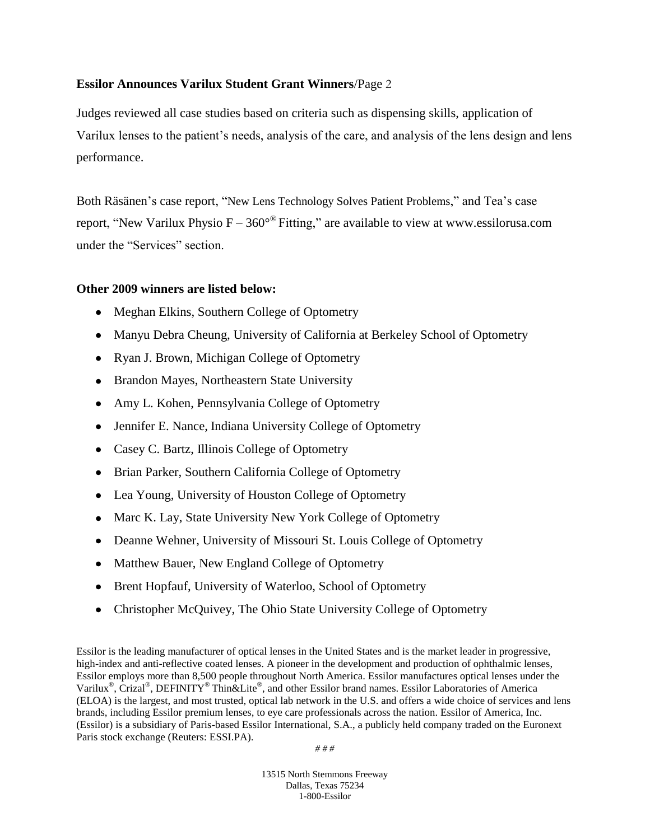### **Essilor Announces Varilux Student Grant Winners**/Page 2

Judges reviewed all case studies based on criteria such as dispensing skills, application of Varilux lenses to the patient's needs, analysis of the care, and analysis of the lens design and lens performance.

Both Räsänen's case report, "New Lens Technology Solves Patient Problems," and Tea's case report, "New Varilux Physio  $F - 360^{\circ}$  Fitting," are available to view at www.essilorusa.com under the "Services" section.

### **Other 2009 winners are listed below:**

- Meghan Elkins, Southern College of Optometry
- Manyu Debra Cheung, University of California at Berkeley School of Optometry
- Ryan J. Brown, Michigan College of Optometry
- Brandon Mayes, Northeastern State University
- Amy L. Kohen, Pennsylvania College of Optometry
- Jennifer E. Nance, Indiana University College of Optometry
- Casey C. Bartz, Illinois College of Optometry
- Brian Parker, Southern California College of Optometry
- Lea Young, University of Houston College of Optometry
- Marc K. Lay, State University New York College of Optometry
- Deanne Wehner, University of Missouri St. Louis College of Optometry
- Matthew Bauer, New England College of Optometry
- Brent Hopfauf, University of Waterloo, School of Optometry
- Christopher McQuivey, The Ohio State University College of Optometry

Essilor is the leading manufacturer of optical lenses in the United States and is the market leader in progressive, high-index and anti-reflective coated lenses. A pioneer in the development and production of ophthalmic lenses, Essilor employs more than 8,500 people throughout North America. Essilor manufactures optical lenses under the Varilux<sup>®</sup>, Crizal<sup>®</sup>, DEFINITY<sup>®</sup> Thin&Lite®, and other Essilor brand names. Essilor Laboratories of America (ELOA) is the largest, and most trusted, optical lab network in the U.S. and offers a wide choice of services and lens brands, including Essilor premium lenses, to eye care professionals across the nation. Essilor of America, Inc. (Essilor) is a subsidiary of Paris-based Essilor International, S.A., a publicly held company traded on the Euronext Paris stock exchange (Reuters: ESSI.PA).

*# # #*

13515 North Stemmons Freeway Dallas, Texas 75234 1-800-Essilor